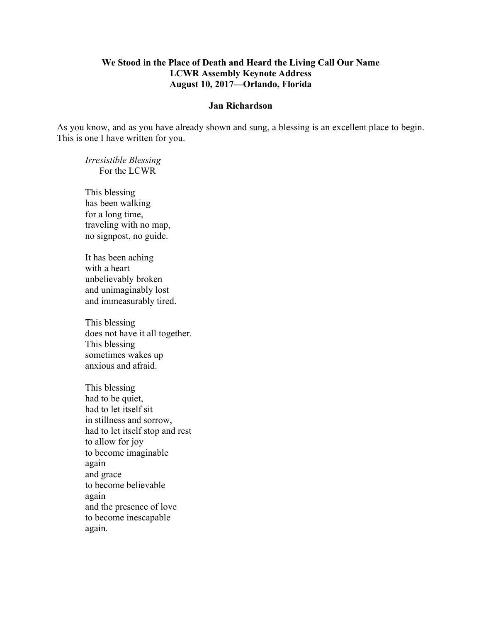## **We Stood in the Place of Death and Heard the Living Call Our Name LCWR Assembly Keynote Address August 10, 2017—Orlando, Florida**

## **Jan Richardson**

As you know, and as you have already shown and sung, a blessing is an excellent place to begin. This is one I have written for you.

*Irresistible Blessing* For the LCWR

This blessing has been walking for a long time, traveling with no map, no signpost, no guide.

It has been aching with a heart unbelievably broken and unimaginably lost and immeasurably tired.

This blessing does not have it all together. This blessing sometimes wakes up anxious and afraid.

This blessing had to be quiet, had to let itself sit in stillness and sorrow, had to let itself stop and rest to allow for joy to become imaginable again and grace to become believable again and the presence of love to become inescapable again.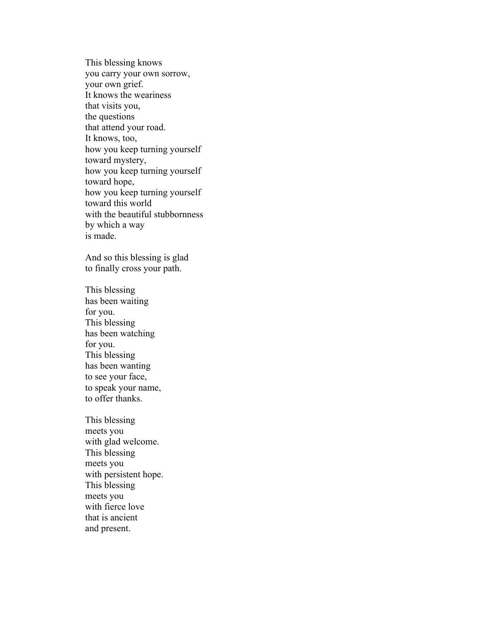This blessing knows you carry your own sorrow, your own grief. It knows the weariness that visits you, the questions that attend your road. It knows, too, how you keep turning yourself toward mystery, how you keep turning yourself toward hope, how you keep turning yourself toward this world with the beautiful stubbornness by which a way is made.

And so this blessing is glad to finally cross your path.

This blessing has been waiting for you. This blessing has been watching for you. This blessing has been wanting to see your face, to speak your name, to offer thanks.

This blessing meets you with glad welcome. This blessing meets you with persistent hope. This blessing meets you with fierce love that is ancient and present.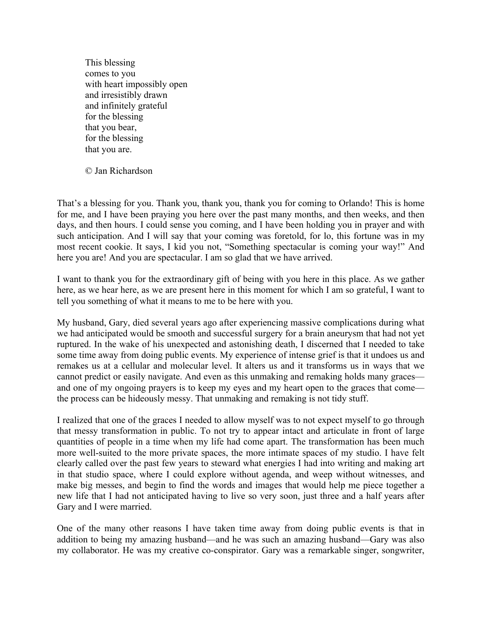This blessing comes to you with heart impossibly open and irresistibly drawn and infinitely grateful for the blessing that you bear, for the blessing that you are.

© Jan Richardson

That's a blessing for you. Thank you, thank you, thank you for coming to Orlando! This is home for me, and I have been praying you here over the past many months, and then weeks, and then days, and then hours. I could sense you coming, and I have been holding you in prayer and with such anticipation. And I will say that your coming was foretold, for lo, this fortune was in my most recent cookie. It says, I kid you not, "Something spectacular is coming your way!" And here you are! And you are spectacular. I am so glad that we have arrived.

I want to thank you for the extraordinary gift of being with you here in this place. As we gather here, as we hear here, as we are present here in this moment for which I am so grateful, I want to tell you something of what it means to me to be here with you.

My husband, Gary, died several years ago after experiencing massive complications during what we had anticipated would be smooth and successful surgery for a brain aneurysm that had not yet ruptured. In the wake of his unexpected and astonishing death, I discerned that I needed to take some time away from doing public events. My experience of intense grief is that it undoes us and remakes us at a cellular and molecular level. It alters us and it transforms us in ways that we cannot predict or easily navigate. And even as this unmaking and remaking holds many graces and one of my ongoing prayers is to keep my eyes and my heart open to the graces that come the process can be hideously messy. That unmaking and remaking is not tidy stuff.

I realized that one of the graces I needed to allow myself was to not expect myself to go through that messy transformation in public. To not try to appear intact and articulate in front of large quantities of people in a time when my life had come apart. The transformation has been much more well-suited to the more private spaces, the more intimate spaces of my studio. I have felt clearly called over the past few years to steward what energies I had into writing and making art in that studio space, where I could explore without agenda, and weep without witnesses, and make big messes, and begin to find the words and images that would help me piece together a new life that I had not anticipated having to live so very soon, just three and a half years after Gary and I were married.

One of the many other reasons I have taken time away from doing public events is that in addition to being my amazing husband—and he was such an amazing husband—Gary was also my collaborator. He was my creative co-conspirator. Gary was a remarkable singer, songwriter,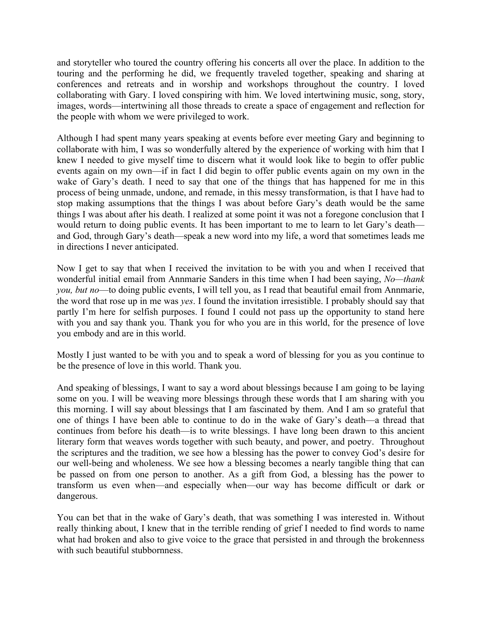and storyteller who toured the country offering his concerts all over the place. In addition to the touring and the performing he did, we frequently traveled together, speaking and sharing at conferences and retreats and in worship and workshops throughout the country. I loved collaborating with Gary. I loved conspiring with him. We loved intertwining music, song, story, images, words—intertwining all those threads to create a space of engagement and reflection for the people with whom we were privileged to work.

Although I had spent many years speaking at events before ever meeting Gary and beginning to collaborate with him, I was so wonderfully altered by the experience of working with him that I knew I needed to give myself time to discern what it would look like to begin to offer public events again on my own—if in fact I did begin to offer public events again on my own in the wake of Gary's death. I need to say that one of the things that has happened for me in this process of being unmade, undone, and remade, in this messy transformation, is that I have had to stop making assumptions that the things I was about before Gary's death would be the same things I was about after his death. I realized at some point it was not a foregone conclusion that I would return to doing public events. It has been important to me to learn to let Gary's death and God, through Gary's death—speak a new word into my life, a word that sometimes leads me in directions I never anticipated.

Now I get to say that when I received the invitation to be with you and when I received that wonderful initial email from Annmarie Sanders in this time when I had been saying, *No—thank you, but no*—to doing public events, I will tell you, as I read that beautiful email from Annmarie, the word that rose up in me was *yes*. I found the invitation irresistible. I probably should say that partly I'm here for selfish purposes. I found I could not pass up the opportunity to stand here with you and say thank you. Thank you for who you are in this world, for the presence of love you embody and are in this world.

Mostly I just wanted to be with you and to speak a word of blessing for you as you continue to be the presence of love in this world. Thank you.

And speaking of blessings, I want to say a word about blessings because I am going to be laying some on you. I will be weaving more blessings through these words that I am sharing with you this morning. I will say about blessings that I am fascinated by them. And I am so grateful that one of things I have been able to continue to do in the wake of Gary's death—a thread that continues from before his death—is to write blessings. I have long been drawn to this ancient literary form that weaves words together with such beauty, and power, and poetry. Throughout the scriptures and the tradition, we see how a blessing has the power to convey God's desire for our well-being and wholeness. We see how a blessing becomes a nearly tangible thing that can be passed on from one person to another. As a gift from God, a blessing has the power to transform us even when—and especially when—our way has become difficult or dark or dangerous.

You can bet that in the wake of Gary's death, that was something I was interested in. Without really thinking about, I knew that in the terrible rending of grief I needed to find words to name what had broken and also to give voice to the grace that persisted in and through the brokenness with such beautiful stubbornness.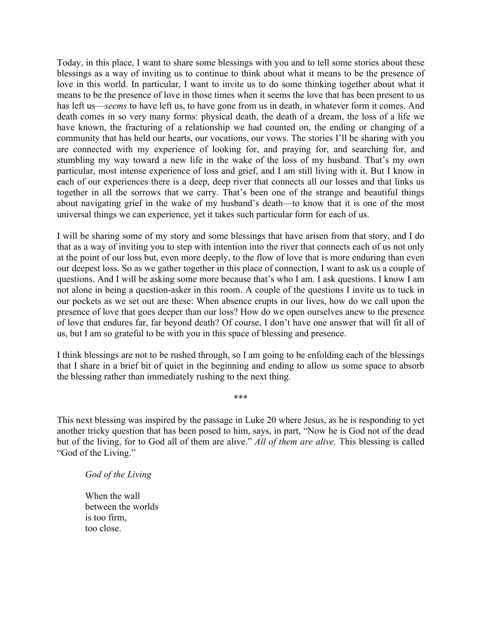Today, in this place, I want to share some blessings with you and to tell some stories about these blessings as a way of inviting us to continue to think about what it means to be the presence of love in this world. In particular, I want to invite us to do some thinking together about what it means to be the presence of love in those times when it seems the love that has been present to us has left us—*seems* to have left us, to have gone from us in death, in whatever form it comes. And death comes in so very many forms: physical death, the death of a dream, the loss of a life we have known, the fracturing of a relationship we had counted on, the ending or changing of a community that has held our hearts, our vocations, our vows. The stories I'll be sharing with you are connected with my experience of looking for, and praying for, and searching for, and stumbling my way toward a new life in the wake of the loss of my husband. That's my own particular, most intense experience of loss and grief, and I am still living with it. But I know in each of our experiences there is a deep, deep river that connects all our losses and that links us together in all the sorrows that we carry. That's been one of the strange and beautiful things about navigating grief in the wake of my husband's death—to know that it is one of the most universal things we can experience, yet it takes such particular form for each of us.

I will be sharing some of my story and some blessings that have arisen from that story, and I do that as a way of inviting you to step with intention into the river that connects each of us not only at the point of our loss but, even more deeply, to the flow of love that is more enduring than even our deepest loss. So as we gather together in this place of connection, I want to ask us a couple of questions. And I will be asking some more because that's who I am. I ask questions. I know I am not alone in being a question-asker in this room. A couple of the questions I invite us to tuck in our pockets as we set out are these: When absence erupts in our lives, how do we call upon the presence of love that goes deeper than our loss? How do we open ourselves anew to the presence of love that endures far, far beyond death? Of course, I don't have one answer that will fit all of us, but I am so grateful to be with you in this space of blessing and presence.

I think blessings are not to be rushed through, so I am going to be enfolding each of the blessings that I share in a brief bit of quiet in the beginning and ending to allow us some space to absorb the blessing rather than immediately rushing to the next thing.

\*\*\*

This next blessing was inspired by the passage in Luke 20 where Jesus, as he is responding to yet another tricky question that has been posed to him, says, in part, "Now he is God not of the dead but of the living, for to God all of them are alive." *All of them are alive.* This blessing is called "God of the Living."

*God of the Living*

When the wall between the worlds is too firm, too close.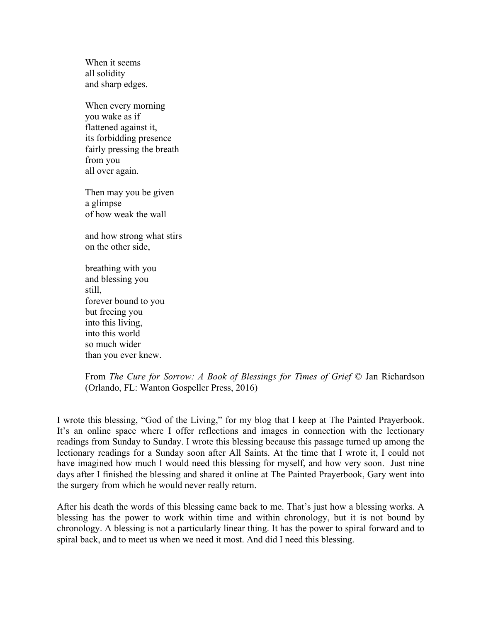When it seems all solidity and sharp edges.

When every morning you wake as if flattened against it, its forbidding presence fairly pressing the breath from you all over again.

Then may you be given a glimpse of how weak the wall

and how strong what stirs on the other side,

breathing with you and blessing you still, forever bound to you but freeing you into this living, into this world so much wider than you ever knew.

From *The Cure for Sorrow: A Book of Blessings for Times of Grief* © Jan Richardson (Orlando, FL: Wanton Gospeller Press, 2016)

I wrote this blessing, "God of the Living," for my blog that I keep at The Painted Prayerbook. It's an online space where I offer reflections and images in connection with the lectionary readings from Sunday to Sunday. I wrote this blessing because this passage turned up among the lectionary readings for a Sunday soon after All Saints. At the time that I wrote it, I could not have imagined how much I would need this blessing for myself, and how very soon. Just nine days after I finished the blessing and shared it online at The Painted Prayerbook, Gary went into the surgery from which he would never really return.

After his death the words of this blessing came back to me. That's just how a blessing works. A blessing has the power to work within time and within chronology, but it is not bound by chronology. A blessing is not a particularly linear thing. It has the power to spiral forward and to spiral back, and to meet us when we need it most. And did I need this blessing.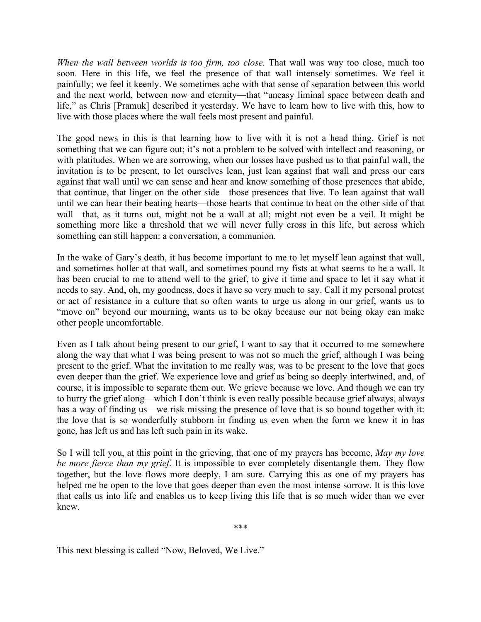*When the wall between worlds is too firm, too close.* That wall was way too close, much too soon. Here in this life, we feel the presence of that wall intensely sometimes. We feel it painfully; we feel it keenly. We sometimes ache with that sense of separation between this world and the next world, between now and eternity—that "uneasy liminal space between death and life," as Chris [Pramuk] described it yesterday. We have to learn how to live with this, how to live with those places where the wall feels most present and painful.

The good news in this is that learning how to live with it is not a head thing. Grief is not something that we can figure out; it's not a problem to be solved with intellect and reasoning, or with platitudes. When we are sorrowing, when our losses have pushed us to that painful wall, the invitation is to be present, to let ourselves lean, just lean against that wall and press our ears against that wall until we can sense and hear and know something of those presences that abide, that continue, that linger on the other side—those presences that live. To lean against that wall until we can hear their beating hearts—those hearts that continue to beat on the other side of that wall—that, as it turns out, might not be a wall at all; might not even be a veil. It might be something more like a threshold that we will never fully cross in this life, but across which something can still happen: a conversation, a communion.

In the wake of Gary's death, it has become important to me to let myself lean against that wall, and sometimes holler at that wall, and sometimes pound my fists at what seems to be a wall. It has been crucial to me to attend well to the grief, to give it time and space to let it say what it needs to say. And, oh, my goodness, does it have so very much to say. Call it my personal protest or act of resistance in a culture that so often wants to urge us along in our grief, wants us to "move on" beyond our mourning, wants us to be okay because our not being okay can make other people uncomfortable.

Even as I talk about being present to our grief, I want to say that it occurred to me somewhere along the way that what I was being present to was not so much the grief, although I was being present to the grief. What the invitation to me really was, was to be present to the love that goes even deeper than the grief. We experience love and grief as being so deeply intertwined, and, of course, it is impossible to separate them out. We grieve because we love. And though we can try to hurry the grief along—which I don't think is even really possible because grief always, always has a way of finding us—we risk missing the presence of love that is so bound together with it: the love that is so wonderfully stubborn in finding us even when the form we knew it in has gone, has left us and has left such pain in its wake.

So I will tell you, at this point in the grieving, that one of my prayers has become, *May my love be more fierce than my grief*. It is impossible to ever completely disentangle them. They flow together, but the love flows more deeply, I am sure. Carrying this as one of my prayers has helped me be open to the love that goes deeper than even the most intense sorrow. It is this love that calls us into life and enables us to keep living this life that is so much wider than we ever knew.

\*\*\*

This next blessing is called "Now, Beloved, We Live."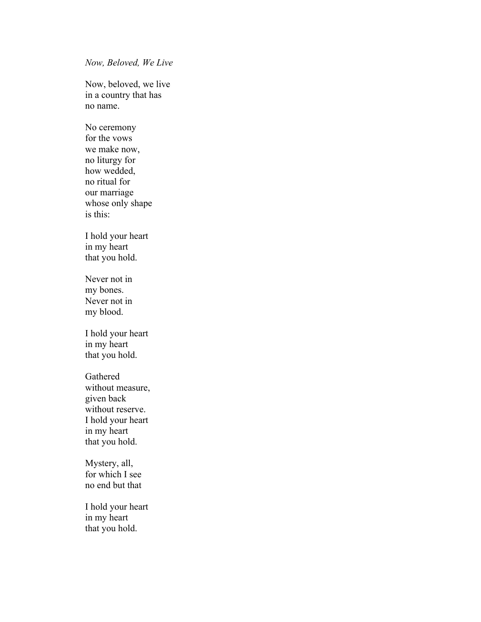*Now, Beloved, We Live*

Now, beloved, we live in a country that has no name.

No ceremony for the vows we make now, no liturgy for how wedded, no ritual for our marriage whose only shape is this:

I hold your heart in my heart that you hold.

Never not in my bones. Never not in my blood.

I hold your heart in my heart that you hold.

Gathered without measure, given back without reserve. I hold your heart in my heart that you hold.

Mystery, all, for which I see no end but that

I hold your heart in my heart that you hold.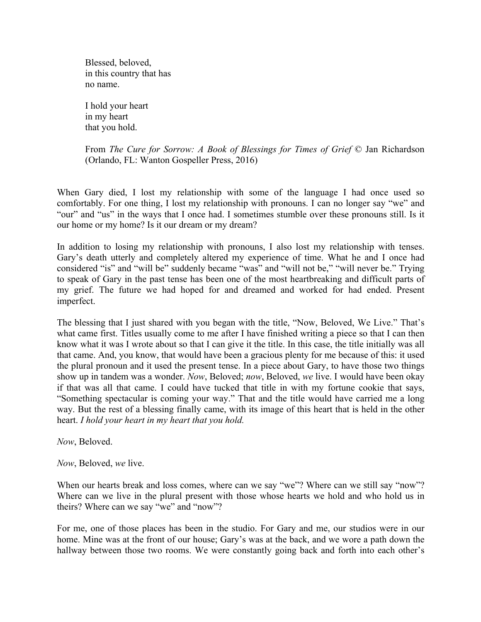Blessed, beloved, in this country that has no name.

I hold your heart in my heart that you hold.

From *The Cure for Sorrow: A Book of Blessings for Times of Grief* © Jan Richardson (Orlando, FL: Wanton Gospeller Press, 2016)

When Gary died, I lost my relationship with some of the language I had once used so comfortably. For one thing, I lost my relationship with pronouns. I can no longer say "we" and "our" and "us" in the ways that I once had. I sometimes stumble over these pronouns still. Is it our home or my home? Is it our dream or my dream?

In addition to losing my relationship with pronouns, I also lost my relationship with tenses. Gary's death utterly and completely altered my experience of time. What he and I once had considered "is" and "will be" suddenly became "was" and "will not be," "will never be." Trying to speak of Gary in the past tense has been one of the most heartbreaking and difficult parts of my grief. The future we had hoped for and dreamed and worked for had ended. Present imperfect.

The blessing that I just shared with you began with the title, "Now, Beloved, We Live." That's what came first. Titles usually come to me after I have finished writing a piece so that I can then know what it was I wrote about so that I can give it the title. In this case, the title initially was all that came. And, you know, that would have been a gracious plenty for me because of this: it used the plural pronoun and it used the present tense. In a piece about Gary, to have those two things show up in tandem was a wonder. *Now*, Beloved; *now*, Beloved, *we* live. I would have been okay if that was all that came. I could have tucked that title in with my fortune cookie that says, "Something spectacular is coming your way." That and the title would have carried me a long way. But the rest of a blessing finally came, with its image of this heart that is held in the other heart. *I hold your heart in my heart that you hold.*

*Now*, Beloved.

*Now*, Beloved, *we* live.

When our hearts break and loss comes, where can we say "we"? Where can we still say "now"? Where can we live in the plural present with those whose hearts we hold and who hold us in theirs? Where can we say "we" and "now"?

For me, one of those places has been in the studio. For Gary and me, our studios were in our home. Mine was at the front of our house; Gary's was at the back, and we wore a path down the hallway between those two rooms. We were constantly going back and forth into each other's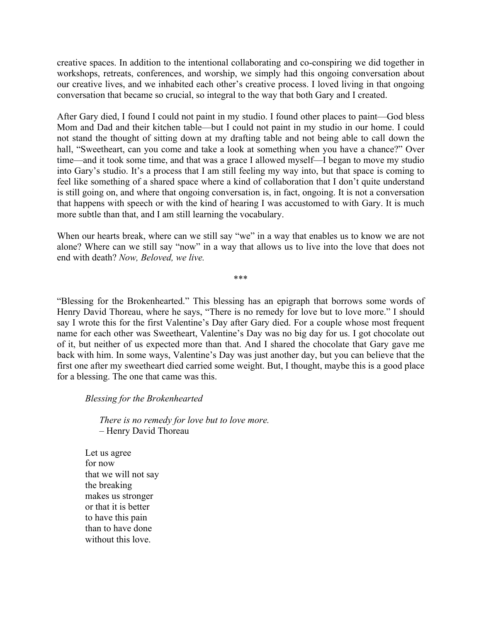creative spaces. In addition to the intentional collaborating and co-conspiring we did together in workshops, retreats, conferences, and worship, we simply had this ongoing conversation about our creative lives, and we inhabited each other's creative process. I loved living in that ongoing conversation that became so crucial, so integral to the way that both Gary and I created.

After Gary died, I found I could not paint in my studio. I found other places to paint—God bless Mom and Dad and their kitchen table—but I could not paint in my studio in our home. I could not stand the thought of sitting down at my drafting table and not being able to call down the hall, "Sweetheart, can you come and take a look at something when you have a chance?" Over time—and it took some time, and that was a grace I allowed myself—I began to move my studio into Gary's studio. It's a process that I am still feeling my way into, but that space is coming to feel like something of a shared space where a kind of collaboration that I don't quite understand is still going on, and where that ongoing conversation is, in fact, ongoing. It is not a conversation that happens with speech or with the kind of hearing I was accustomed to with Gary. It is much more subtle than that, and I am still learning the vocabulary.

When our hearts break, where can we still say "we" in a way that enables us to know we are not alone? Where can we still say "now" in a way that allows us to live into the love that does not end with death? *Now, Beloved, we live.*

\*\*\*

"Blessing for the Brokenhearted." This blessing has an epigraph that borrows some words of Henry David Thoreau, where he says, "There is no remedy for love but to love more." I should say I wrote this for the first Valentine's Day after Gary died. For a couple whose most frequent name for each other was Sweetheart, Valentine's Day was no big day for us. I got chocolate out of it, but neither of us expected more than that. And I shared the chocolate that Gary gave me back with him. In some ways, Valentine's Day was just another day, but you can believe that the first one after my sweetheart died carried some weight. But, I thought, maybe this is a good place for a blessing. The one that came was this.

*Blessing for the Brokenhearted*

*There is no remedy for love but to love more.* – Henry David Thoreau

Let us agree for now that we will not say the breaking makes us stronger or that it is better to have this pain than to have done without this love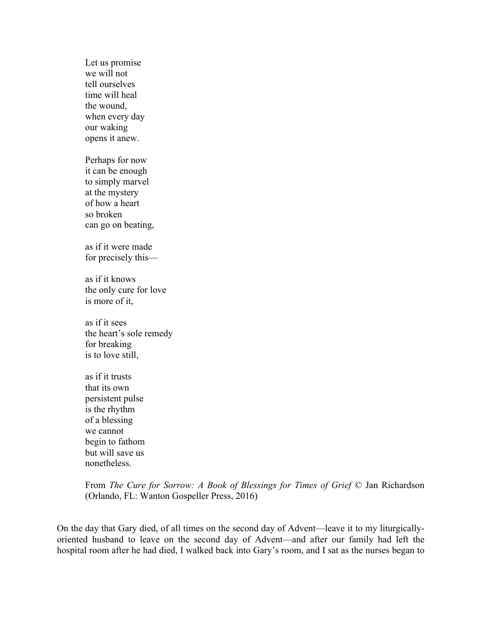Let us promise we will not tell ourselves time will heal the wound, when every day our waking opens it anew.

Perhaps for now it can be enough to simply marvel at the mystery of how a heart so broken can go on beating,

as if it were made for precisely this—

as if it knows the only cure for love is more of it,

as if it sees the heart's sole remedy for breaking is to love still,

as if it trusts that its own persistent pulse is the rhythm of a blessing we cannot begin to fathom but will save us nonetheless.

From *The Cure for Sorrow: A Book of Blessings for Times of Grief* © Jan Richardson (Orlando, FL: Wanton Gospeller Press, 2016)

On the day that Gary died, of all times on the second day of Advent—leave it to my liturgicallyoriented husband to leave on the second day of Advent—and after our family had left the hospital room after he had died, I walked back into Gary's room, and I sat as the nurses began to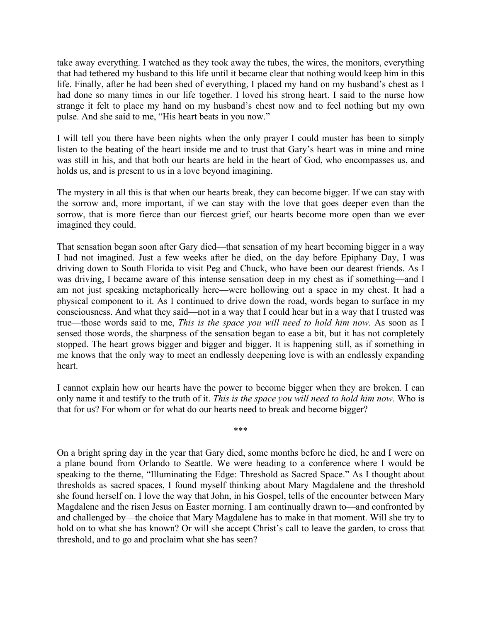take away everything. I watched as they took away the tubes, the wires, the monitors, everything that had tethered my husband to this life until it became clear that nothing would keep him in this life. Finally, after he had been shed of everything, I placed my hand on my husband's chest as I had done so many times in our life together. I loved his strong heart. I said to the nurse how strange it felt to place my hand on my husband's chest now and to feel nothing but my own pulse. And she said to me, "His heart beats in you now."

I will tell you there have been nights when the only prayer I could muster has been to simply listen to the beating of the heart inside me and to trust that Gary's heart was in mine and mine was still in his, and that both our hearts are held in the heart of God, who encompasses us, and holds us, and is present to us in a love beyond imagining.

The mystery in all this is that when our hearts break, they can become bigger. If we can stay with the sorrow and, more important, if we can stay with the love that goes deeper even than the sorrow, that is more fierce than our fiercest grief, our hearts become more open than we ever imagined they could.

That sensation began soon after Gary died—that sensation of my heart becoming bigger in a way I had not imagined. Just a few weeks after he died, on the day before Epiphany Day, I was driving down to South Florida to visit Peg and Chuck, who have been our dearest friends. As I was driving, I became aware of this intense sensation deep in my chest as if something—and I am not just speaking metaphorically here—were hollowing out a space in my chest. It had a physical component to it. As I continued to drive down the road, words began to surface in my consciousness. And what they said—not in a way that I could hear but in a way that I trusted was true—those words said to me, *This is the space you will need to hold him now*. As soon as I sensed those words, the sharpness of the sensation began to ease a bit, but it has not completely stopped. The heart grows bigger and bigger and bigger. It is happening still, as if something in me knows that the only way to meet an endlessly deepening love is with an endlessly expanding heart.

I cannot explain how our hearts have the power to become bigger when they are broken. I can only name it and testify to the truth of it. *This is the space you will need to hold him now*. Who is that for us? For whom or for what do our hearts need to break and become bigger?

\*\*\*

On a bright spring day in the year that Gary died, some months before he died, he and I were on a plane bound from Orlando to Seattle. We were heading to a conference where I would be speaking to the theme, "Illuminating the Edge: Threshold as Sacred Space." As I thought about thresholds as sacred spaces, I found myself thinking about Mary Magdalene and the threshold she found herself on. I love the way that John, in his Gospel, tells of the encounter between Mary Magdalene and the risen Jesus on Easter morning. I am continually drawn to—and confronted by and challenged by—the choice that Mary Magdalene has to make in that moment. Will she try to hold on to what she has known? Or will she accept Christ's call to leave the garden, to cross that threshold, and to go and proclaim what she has seen?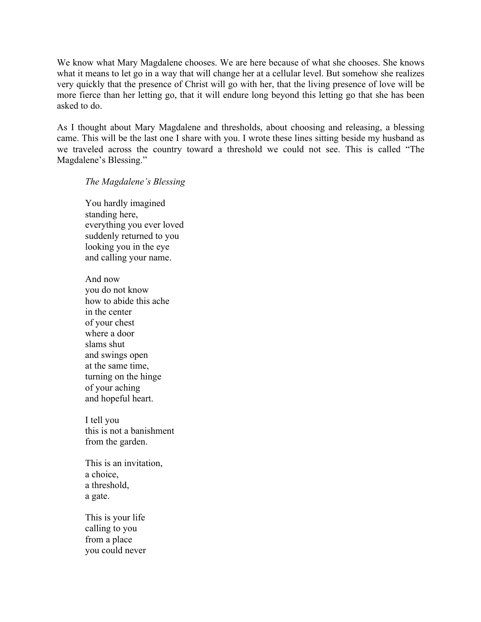We know what Mary Magdalene chooses. We are here because of what she chooses. She knows what it means to let go in a way that will change her at a cellular level. But somehow she realizes very quickly that the presence of Christ will go with her, that the living presence of love will be more fierce than her letting go, that it will endure long beyond this letting go that she has been asked to do.

As I thought about Mary Magdalene and thresholds, about choosing and releasing, a blessing came. This will be the last one I share with you. I wrote these lines sitting beside my husband as we traveled across the country toward a threshold we could not see. This is called "The Magdalene's Blessing."

## *The Magdalene's Blessing*

You hardly imagined standing here, everything you ever loved suddenly returned to you looking you in the eye and calling your name.

And now you do not know how to abide this ache in the center of your chest where a door slams shut and swings open at the same time, turning on the hinge of your aching and hopeful heart.

I tell you this is not a banishment from the garden.

This is an invitation, a choice, a threshold, a gate.

This is your life calling to you from a place you could never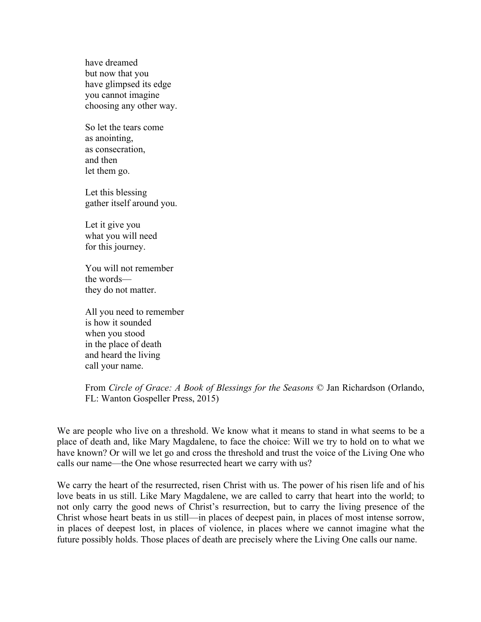have dreamed but now that you have glimpsed its edge you cannot imagine choosing any other way.

So let the tears come as anointing, as consecration, and then let them go.

Let this blessing gather itself around you.

Let it give you what you will need for this journey.

You will not remember the words they do not matter.

All you need to remember is how it sounded when you stood in the place of death and heard the living call your name.

From *Circle of Grace: A Book of Blessings for the Seasons* © Jan Richardson (Orlando, FL: Wanton Gospeller Press, 2015)

We are people who live on a threshold. We know what it means to stand in what seems to be a place of death and, like Mary Magdalene, to face the choice: Will we try to hold on to what we have known? Or will we let go and cross the threshold and trust the voice of the Living One who calls our name—the One whose resurrected heart we carry with us?

We carry the heart of the resurrected, risen Christ with us. The power of his risen life and of his love beats in us still. Like Mary Magdalene, we are called to carry that heart into the world; to not only carry the good news of Christ's resurrection, but to carry the living presence of the Christ whose heart beats in us still—in places of deepest pain, in places of most intense sorrow, in places of deepest lost, in places of violence, in places where we cannot imagine what the future possibly holds. Those places of death are precisely where the Living One calls our name.